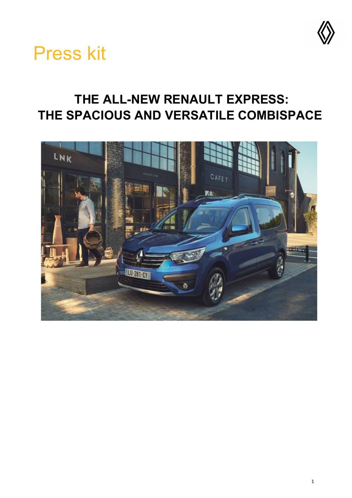

# Press kit

## **THE ALL-NEW RENAULT EXPRESS: THE SPACIOUS AND VERSATILE COMBISPACE**

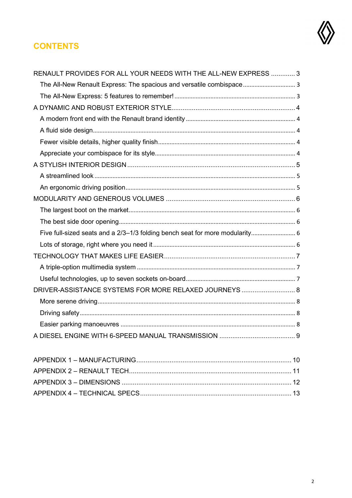

### **CONTENTS**

| RENAULT PROVIDES FOR ALL YOUR NEEDS WITH THE ALL-NEW EXPRESS  3              |  |
|------------------------------------------------------------------------------|--|
| The All-New Renault Express: The spacious and versatile combispace 3         |  |
|                                                                              |  |
|                                                                              |  |
|                                                                              |  |
|                                                                              |  |
|                                                                              |  |
|                                                                              |  |
|                                                                              |  |
|                                                                              |  |
|                                                                              |  |
|                                                                              |  |
|                                                                              |  |
|                                                                              |  |
| Five full-sized seats and a 2/3-1/3 folding bench seat for more modularity 6 |  |
|                                                                              |  |
|                                                                              |  |
|                                                                              |  |
|                                                                              |  |
| DRIVER-ASSISTANCE SYSTEMS FOR MORE RELAXED JOURNEYS  8                       |  |
|                                                                              |  |
|                                                                              |  |
|                                                                              |  |
|                                                                              |  |
|                                                                              |  |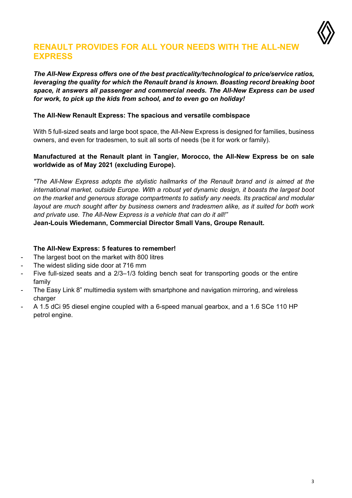

### <span id="page-2-0"></span>**RENAULT PROVIDES FOR ALL YOUR NEEDS WITH THE ALL-NEW EXPRESS**

#### *The All-New Express offers one of the best practicality/technological to price/service ratios, leveraging the quality for which the Renault brand is known. Boasting record breaking boot space, it answers all passenger and commercial needs. The All-New Express can be used for work, to pick up the kids from school, and to even go on holiday!*

#### <span id="page-2-1"></span>**The All-New Renault Express: The spacious and versatile combispace**

With 5 full-sized seats and large boot space, the All-New Express is designed for families, business owners, and even for tradesmen, to suit all sorts of needs (be it for work or family).

#### **Manufactured at the Renault plant in Tangier, Morocco, the All-New Express be on sale worldwide as of May 2021 (excluding Europe).**

*"The All-New Express adopts the stylistic hallmarks of the Renault brand and is aimed at the international market, outside Europe. With a robust yet dynamic design, it boasts the largest boot on the market and generous storage compartments to satisfy any needs. Its practical and modular layout are much sought after by business owners and tradesmen alike, as it suited for both work and private use. The All-New Express is a vehicle that can do it all!"*

**Jean-Louis Wiedemann, Commercial Director Small Vans, Groupe Renault.**

#### <span id="page-2-2"></span>**The All-New Express: 5 features to remember!**

- The largest boot on the market with 800 litres
- The widest sliding side door at 716 mm
- Five full-sized seats and a 2/3-1/3 folding bench seat for transporting goods or the entire family
- The Easy Link 8" multimedia system with smartphone and navigation mirroring, and wireless charger
- A 1.5 dCi 95 diesel engine coupled with a 6-speed manual gearbox, and a 1.6 SCe 110 HP petrol engine.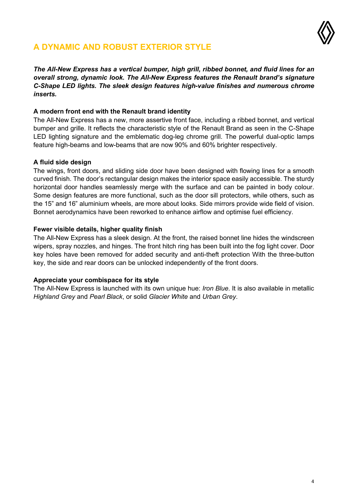

### <span id="page-3-0"></span>**A DYNAMIC AND ROBUST EXTERIOR STYLE**

*The All-New Express has a vertical bumper, high grill, ribbed bonnet, and fluid lines for an overall strong, dynamic look. The All-New Express features the Renault brand's signature C-Shape LED lights. The sleek design features high-value finishes and numerous chrome inserts.*

#### <span id="page-3-1"></span>**A modern front end with the Renault brand identity**

The All-New Express has a new, more assertive front face, including a ribbed bonnet, and vertical bumper and grille. It reflects the characteristic style of the Renault Brand as seen in the C-Shape LED lighting signature and the emblematic dog-leg chrome grill. The powerful dual-optic lamps feature high-beams and low-beams that are now 90% and 60% brighter respectively.

#### <span id="page-3-2"></span>**A fluid side design**

The wings, front doors, and sliding side door have been designed with flowing lines for a smooth curved finish. The door's rectangular design makes the interior space easily accessible. The sturdy horizontal door handles seamlessly merge with the surface and can be painted in body colour. Some design features are more functional, such as the door sill protectors, while others, such as the 15" and 16" aluminium wheels, are more about looks. Side mirrors provide wide field of vision. Bonnet aerodynamics have been reworked to enhance airflow and optimise fuel efficiency.

#### <span id="page-3-3"></span>**Fewer visible details, higher quality finish**

The All-New Express has a sleek design. At the front, the raised bonnet line hides the windscreen wipers, spray nozzles, and hinges. The front hitch ring has been built into the fog light cover. Door key holes have been removed for added security and anti-theft protection With the three-button key, the side and rear doors can be unlocked independently of the front doors.

#### <span id="page-3-4"></span>**Appreciate your combispace for its style**

The All-New Express is launched with its own unique hue: *Iron Blue*. It is also available in metallic *Highland Grey* and *Pearl Black*, or solid *Glacier White* and *Urban Grey*.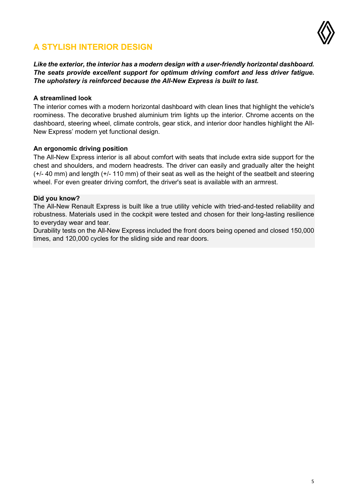

### <span id="page-4-0"></span>**A STYLISH INTERIOR DESIGN**

*Like the exterior, the interior has a modern design with a user-friendly horizontal dashboard. The seats provide excellent support for optimum driving comfort and less driver fatigue. The upholstery is reinforced because the All-New Express is built to last.*

#### <span id="page-4-1"></span>**A streamlined look**

The interior comes with a modern horizontal dashboard with clean lines that highlight the vehicle's roominess. The decorative brushed aluminium trim lights up the interior. Chrome accents on the dashboard, steering wheel, climate controls, gear stick, and interior door handles highlight the All-New Express' modern yet functional design.

#### <span id="page-4-2"></span>**An ergonomic driving position**

The All-New Express interior is all about comfort with seats that include extra side support for the chest and shoulders, and modern headrests. The driver can easily and gradually alter the height (+/- 40 mm) and length (+/- 110 mm) of their seat as well as the height of the seatbelt and steering wheel. For even greater driving comfort, the driver's seat is available with an armrest.

#### **Did you know?**

The All-New Renault Express is built like a true utility vehicle with tried-and-tested reliability and robustness. Materials used in the cockpit were tested and chosen for their long-lasting resilience to everyday wear and tear.

Durability tests on the All-New Express included the front doors being opened and closed 150,000 times, and 120,000 cycles for the sliding side and rear doors.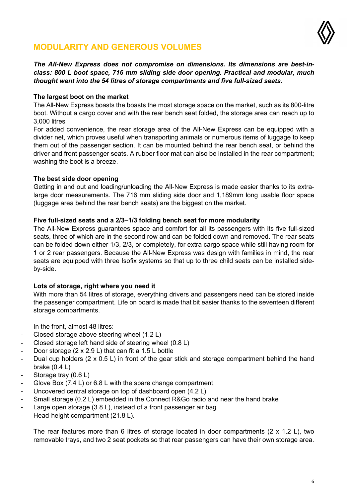

### <span id="page-5-0"></span>**MODULARITY AND GENEROUS VOLUMES**

*The All-New Express does not compromise on dimensions. Its dimensions are best-inclass: 800 L boot space, 716 mm sliding side door opening. Practical and modular, much thought went into the 54 litres of storage compartments and five full-sized seats.*

#### <span id="page-5-1"></span>**The largest boot on the market**

The All-New Express boasts the boasts the most storage space on the market, such as its 800-litre boot. Without a cargo cover and with the rear bench seat folded, the storage area can reach up to 3,000 litres

For added convenience, the rear storage area of the All-New Express can be equipped with a divider net, which proves useful when transporting animals or numerous items of luggage to keep them out of the passenger section. It can be mounted behind the rear bench seat, or behind the driver and front passenger seats. A rubber floor mat can also be installed in the rear compartment; washing the boot is a breeze.

#### <span id="page-5-2"></span>**The best side door opening**

Getting in and out and loading/unloading the All-New Express is made easier thanks to its extralarge door measurements. The 716 mm sliding side door and 1,189mm long usable floor space (luggage area behind the rear bench seats) are the biggest on the market.

#### <span id="page-5-3"></span>**Five full-sized seats and a 2/3–1/3 folding bench seat for more modularity**

The All-New Express guarantees space and comfort for all its passengers with its five full-sized seats, three of which are in the second row and can be folded down and removed. The rear seats can be folded down either 1/3, 2/3, or completely, for extra cargo space while still having room for 1 or 2 rear passengers. Because the All-New Express was design with families in mind, the rear seats are equipped with three Isofix systems so that up to three child seats can be installed sideby-side.

#### <span id="page-5-4"></span>**Lots of storage, right where you need it**

With more than 54 litres of storage, everything drivers and passengers need can be stored inside the passenger compartment. Life on board is made that bit easier thanks to the seventeen different storage compartments.

In the front, almost 48 litres:

- Closed storage above steering wheel (1.2 L)
- Closed storage left hand side of steering wheel (0.8 L)
- Door storage  $(2 \times 2.9 \text{ L})$  that can fit a 1.5 L bottle
- Dual cup holders (2 x 0.5 L) in front of the gear stick and storage compartment behind the hand brake (0.4 L)
- Storage tray (0.6 L)
- Glove Box (7.4 L) or 6.8 L with the spare change compartment.
- Uncovered central storage on top of dashboard open (4.2 L)
- Small storage (0.2 L) embedded in the Connect R&Go radio and near the hand brake
- Large open storage  $(3.8 \text{ L})$ , instead of a front passenger air bag
- Head-height compartment (21.8 L).

The rear features more than 6 litres of storage located in door compartments (2 x 1.2 L), two removable trays, and two 2 seat pockets so that rear passengers can have their own storage area.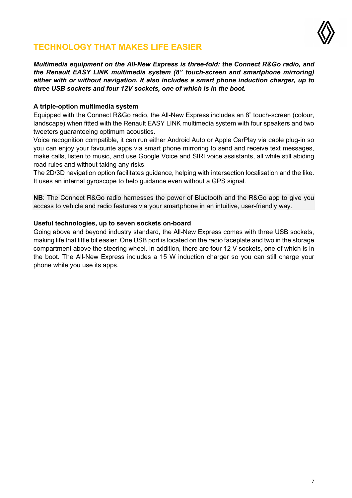

### <span id="page-6-0"></span>**TECHNOLOGY THAT MAKES LIFE EASIER**

*Multimedia equipment on the All-New Express is three-fold: the Connect R&Go radio, and the Renault EASY LINK multimedia system (8" touch-screen and smartphone mirroring) either with or without navigation. It also includes a smart phone induction charger, up to three USB sockets and four 12V sockets, one of which is in the boot.*

#### <span id="page-6-1"></span>**A triple-option multimedia system**

Equipped with the Connect R&Go radio, the All-New Express includes an 8" touch-screen (colour, landscape) when fitted with the Renault EASY LINK multimedia system with four speakers and two tweeters guaranteeing optimum acoustics.

Voice recognition compatible, it can run either Android Auto or Apple CarPlay via cable plug-in so you can enjoy your favourite apps via smart phone mirroring to send and receive text messages, make calls, listen to music, and use Google Voice and SIRI voice assistants, all while still abiding road rules and without taking any risks.

The 2D/3D navigation option facilitates guidance, helping with intersection localisation and the like. It uses an internal gyroscope to help guidance even without a GPS signal.

**NB**: The Connect R&Go radio harnesses the power of Bluetooth and the R&Go app to give you access to vehicle and radio features via your smartphone in an intuitive, user-friendly way.

#### <span id="page-6-2"></span>**Useful technologies, up to seven sockets on-board**

Going above and beyond industry standard, the All-New Express comes with three USB sockets, making life that little bit easier. One USB port is located on the radio faceplate and two in the storage compartment above the steering wheel. In addition, there are four 12 V sockets, one of which is in the boot. The All-New Express includes a 15 W induction charger so you can still charge your phone while you use its apps.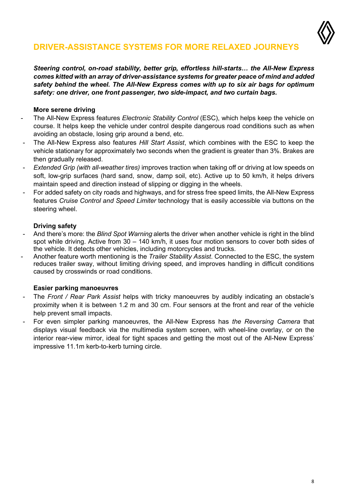

### <span id="page-7-0"></span>**DRIVER-ASSISTANCE SYSTEMS FOR MORE RELAXED JOURNEYS**

*Steering control, on-road stability, better grip, effortless hill-starts… the All-New Express comes kitted with an array of driver-assistance systems for greater peace of mind and added safety behind the wheel. The All-New Express comes with up to six air bags for optimum safety: one driver, one front passenger, two side-impact, and two curtain bags.*

#### <span id="page-7-1"></span>**More serene driving**

- The All-New Express features *Electronic Stability Control* (ESC), which helps keep the vehicle on course. It helps keep the vehicle under control despite dangerous road conditions such as when avoiding an obstacle, losing grip around a bend, etc.
- The All-New Express also features *Hill Start Assist*, which combines with the ESC to keep the vehicle stationary for approximately two seconds when the gradient is greater than 3%. Brakes are then gradually released.
- *Extended Grip (with all-weather tires)* improves traction when taking off or driving at low speeds on soft, low-grip surfaces (hard sand, snow, damp soil, etc). Active up to 50 km/h, it helps drivers maintain speed and direction instead of slipping or digging in the wheels.
- For added safety on city roads and highways, and for stress free speed limits, the All-New Express features *Cruise Control and Speed Limiter* technology that is easily accessible via buttons on the steering wheel.

#### <span id="page-7-2"></span>**Driving safety**

- And there's more: the *Blind Spot Warning* alerts the driver when another vehicle is right in the blind spot while driving. Active from 30 – 140 km/h, it uses four motion sensors to cover both sides of the vehicle. It detects other vehicles, including motorcycles and trucks.
- Another feature worth mentioning is the *Trailer Stability Assist*. Connected to the ESC, the system reduces trailer sway, without limiting driving speed, and improves handling in difficult conditions caused by crosswinds or road conditions.

#### <span id="page-7-3"></span>**Easier parking manoeuvres**

- The *Front / Rear Park Assist* helps with tricky manoeuvres by audibly indicating an obstacle's proximity when it is between 1.2 m and 30 cm. Four sensors at the front and rear of the vehicle help prevent small impacts.
- For even simpler parking manoeuvres, the All-New Express has *the Reversing Camera* that displays visual feedback via the multimedia system screen, with wheel-line overlay, or on the interior rear-view mirror, ideal for tight spaces and getting the most out of the All-New Express' impressive 11.1m kerb-to-kerb turning circle.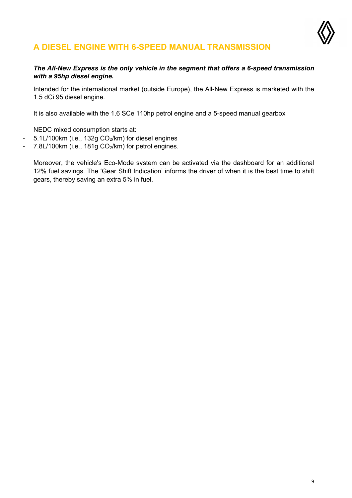

### <span id="page-8-0"></span>**A DIESEL ENGINE WITH 6-SPEED MANUAL TRANSMISSION**

#### *The All-New Express is the only vehicle in the segment that offers a 6-speed transmission with a 95hp diesel engine.*

Intended for the international market (outside Europe), the All-New Express is marketed with the 1.5 dCi 95 diesel engine.

It is also available with the 1.6 SCe 110hp petrol engine and a 5-speed manual gearbox

NEDC mixed consumption starts at:

- 5.1L/100km (i.e., 132g CO<sub>2</sub>/km) for diesel engines
- 7.8L/100km (i.e., 181g CO<sub>2</sub>/km) for petrol engines.

Moreover, the vehicle's Eco-Mode system can be activated via the dashboard for an additional 12% fuel savings. The 'Gear Shift Indication' informs the driver of when it is the best time to shift gears, thereby saving an extra 5% in fuel.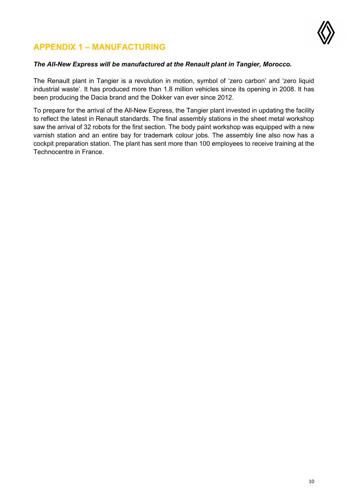

### <span id="page-9-0"></span>**APPENDIX 1 – MANUFACTURING**

#### *The All-New Express will be manufactured at the Renault plant in Tangier, Morocco.*

The Renault plant in Tangier is a revolution in motion, symbol of 'zero carbon' and 'zero liquid industrial waste'. It has produced more than 1.8 million vehicles since its opening in 2008. It has been producing the Dacia brand and the Dokker van ever since 2012.

To prepare for the arrival of the All-New Express, the Tangier plant invested in updating the facility to reflect the latest in Renault standards. The final assembly stations in the sheet metal workshop saw the arrival of 32 robots for the first section. The body paint workshop was equipped with a new varnish station and an entire bay for trademark colour jobs. The assembly line also now has a cockpit preparation station. The plant has sent more than 100 employees to receive training at the Technocentre in France.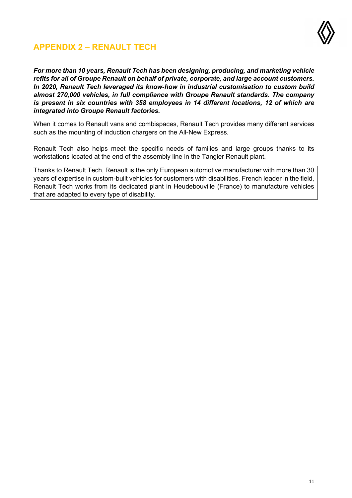

### <span id="page-10-0"></span>**APPENDIX 2 – RENAULT TECH**

*For more than 10 years, Renault Tech has been designing, producing, and marketing vehicle refits for all of Groupe Renault on behalf of private, corporate, and large account customers. In 2020, Renault Tech leveraged its know-how in industrial customisation to custom build almost 270,000 vehicles, in full compliance with Groupe Renault standards. The company is present in six countries with 358 employees in 14 different locations, 12 of which are integrated into Groupe Renault factories.*

When it comes to Renault vans and combispaces, Renault Tech provides many different services such as the mounting of induction chargers on the All-New Express.

Renault Tech also helps meet the specific needs of families and large groups thanks to its workstations located at the end of the assembly line in the Tangier Renault plant.

Thanks to Renault Tech, Renault is the only European automotive manufacturer with more than 30 years of expertise in custom-built vehicles for customers with disabilities. French leader in the field, Renault Tech works from its dedicated plant in Heudebouville (France) to manufacture vehicles that are adapted to every type of disability.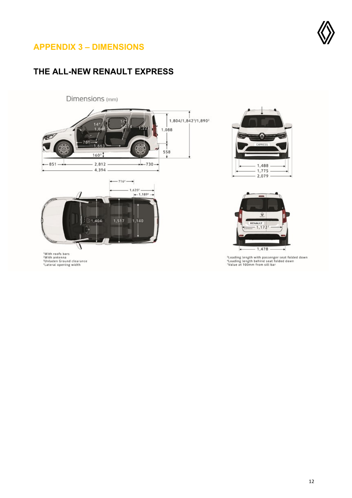

### <span id="page-11-0"></span>**APPENDIX 3 – DIMENSIONS**

### **THE ALL-NEW RENAULT EXPRESS**







<sup>s</sup>Loading length with passenger seat folded down<br>\*Loading length behind seat folded down<br>"Value at 100mm from sill bar

'With roofs bars<br>'With antenna<br>'Unladen Ground clearance<br>'Lateral opening width